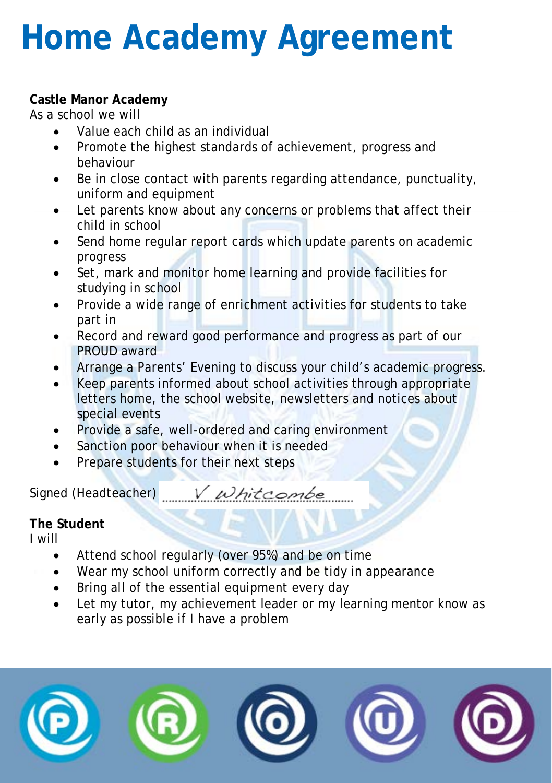# **Home Academy Agreement**

## **Castle Manor Academy**

As a school we will

- Value each child as an individual
- Promote the highest standards of achievement, progress and behaviour
- Be in close contact with parents regarding attendance, punctuality, uniform and equipment
- Let parents know about any concerns or problems that affect their child in school
- Send home regular report cards which update parents on academic progress
- Set, mark and monitor home learning and provide facilities for studying in school
- Provide a wide range of enrichment activities for students to take part in
- Record and reward good performance and progress as part of our PROUD award
- Arrange a Parents' Evening to discuss your child's academic progress.
- Keep parents informed about school activities through appropriate letters home, the school website, newsletters and notices about special events
- Provide a safe, well-ordered and caring environment
- Sanction poor behaviour when it is needed
- Prepare students for their next steps

Signed (Headteacher) *whitcombe* 

#### **The Student**

I will

- Attend school regularly (over 95%) and be on time
- Wear my school uniform correctly and be tidy in appearance
- Bring all of the essential equipment every day
- Let my tutor, my achievement leader or my learning mentor know as early as possible if I have a problem